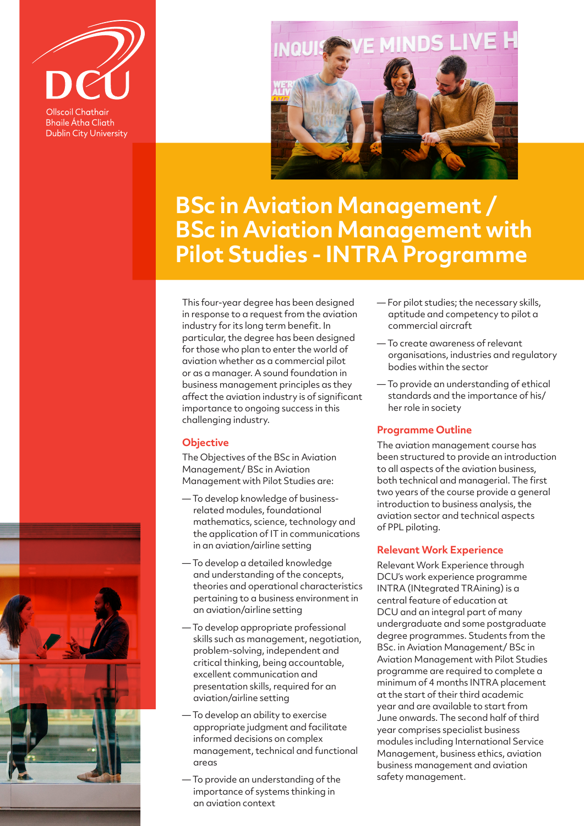

**Bhaile Átha Cliath Dublin City University** 



# **BSc in Aviation Management / BSc in Aviation Management with Pilot Studies - INTRA Programme**

This four-year degree has been designed in response to a request from the aviation industry for its long term benefit. In particular, the degree has been designed for those who plan to enter the world of aviation whether as a commercial pilot or as a manager. A sound foundation in business management principles as they affect the aviation industry is of significant importance to ongoing success in this challenging industry.

## **Objective**

The Objectives of the BSc in Aviation Management/ BSc in Aviation Management with Pilot Studies are:

- To develop knowledge of businessrelated modules, foundational mathematics, science, technology and the application of IT in communications in an aviation/airline setting
- To develop a detailed knowledge and understanding of the concepts, theories and operational characteristics pertaining to a business environment in an aviation/airline setting
- To develop appropriate professional skills such as management, negotiation, problem-solving, independent and critical thinking, being accountable, excellent communication and presentation skills, required for an aviation/airline setting
- To develop an ability to exercise appropriate judgment and facilitate informed decisions on complex management, technical and functional areas
- To provide an understanding of the importance of systems thinking in an aviation context
- For pilot studies; the necessary skills, aptitude and competency to pilot a commercial aircraft
- To create awareness of relevant organisations, industries and regulatory bodies within the sector
- To provide an understanding of ethical standards and the importance of his/ her role in society

## **Programme Outline**

The aviation management course has been structured to provide an introduction to all aspects of the aviation business, both technical and managerial. The first two years of the course provide a general introduction to business analysis, the aviation sector and technical aspects of PPL piloting.

## **Relevant Work Experience**

Relevant Work Experience through DCU's work experience programme INTRA (INtegrated TRAining) is a central feature of education at DCU and an integral part of many undergraduate and some postgraduate degree programmes. Students from the BSc. in Aviation Management/ BSc in Aviation Management with Pilot Studies programme are required to complete a minimum of 4 months INTRA placement at the start of their third academic year and are available to start from June onwards. The second half of third year comprises specialist business modules including International Service Management, business ethics, aviation business management and aviation safety management.